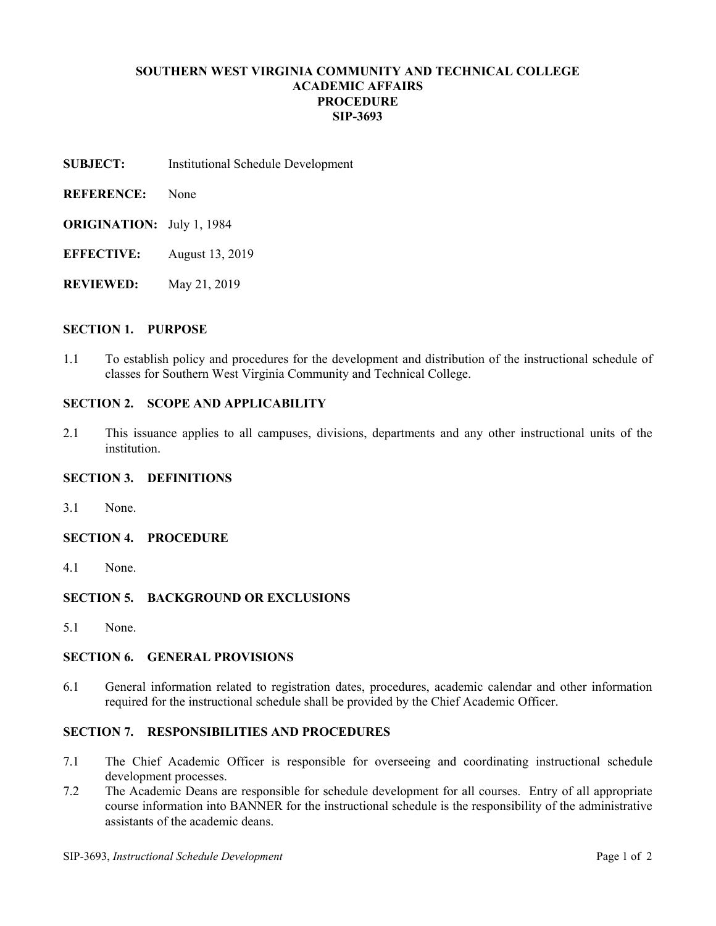# **SOUTHERN WEST VIRGINIA COMMUNITY AND TECHNICAL COLLEGE ACADEMIC AFFAIRS PROCEDURE SIP-3693**

- **SUBJECT:** Institutional Schedule Development
- **REFERENCE:** None
- **ORIGINATION:** July 1, 1984
- **EFFECTIVE:** August 13, 2019
- **REVIEWED:** May 21, 2019

#### **SECTION 1. PURPOSE**

1.1 To establish policy and procedures for the development and distribution of the instructional schedule of classes for Southern West Virginia Community and Technical College.

#### **SECTION 2. SCOPE AND APPLICABILITY**

2.1 This issuance applies to all campuses, divisions, departments and any other instructional units of the institution.

## **SECTION 3. DEFINITIONS**

- 3.1 None.
- **SECTION 4. PROCEDURE**
- 4.1 None.

# **SECTION 5. BACKGROUND OR EXCLUSIONS**

5.1 None.

#### **SECTION 6. GENERAL PROVISIONS**

6.1 General information related to registration dates, procedures, academic calendar and other information required for the instructional schedule shall be provided by the Chief Academic Officer.

# **SECTION 7. RESPONSIBILITIES AND PROCEDURES**

- 7.1 The Chief Academic Officer is responsible for overseeing and coordinating instructional schedule development processes.
- 7.2 The Academic Deans are responsible for schedule development for all courses. Entry of all appropriate course information into BANNER for the instructional schedule is the responsibility of the administrative assistants of the academic deans.